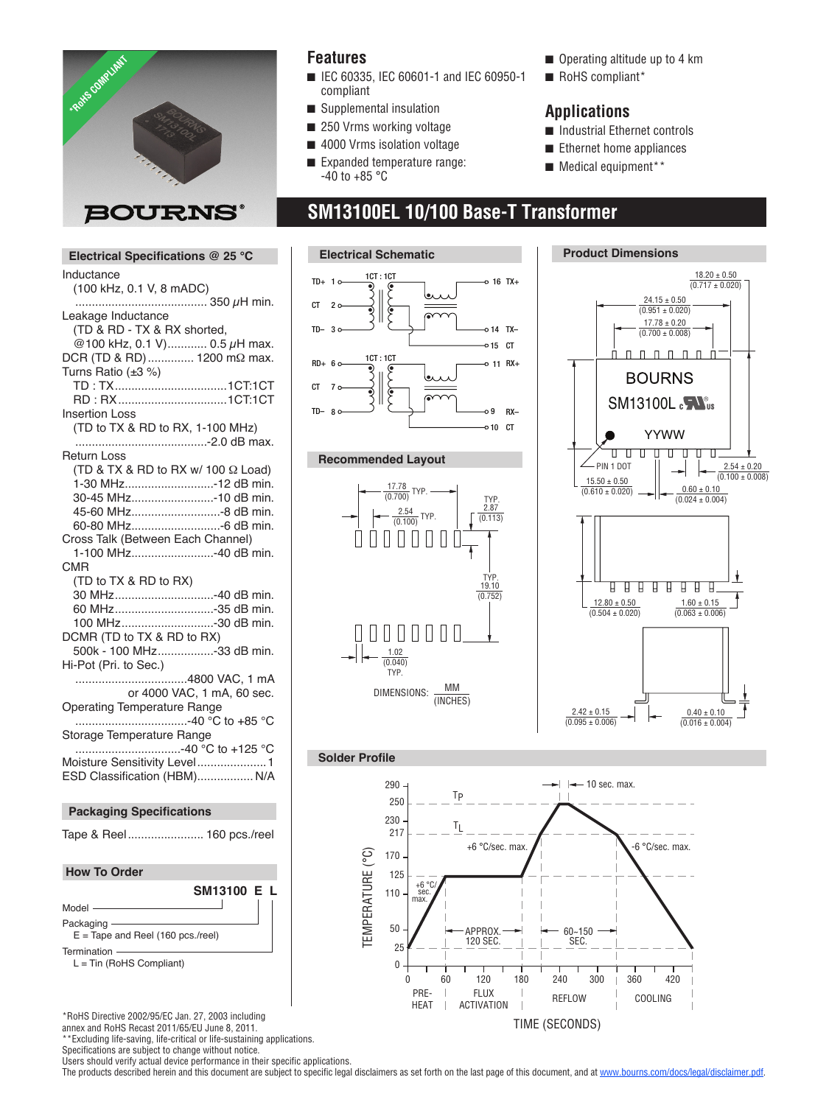

### **Features**

- IEC 60335, IEC 60601-1 and IEC 60950-1 compliant
- $\blacksquare$  Supplemental insulation
- Suppremental mediation<br>■ 250 Vrms working voltage
- $\blacksquare$  4000 Vrms isolation voltage
- Expanded temperature range: -40 to +85  $^{\circ}$ C
- $\blacksquare$  Operating altitude up to 4 km
- RoHS compliant\*

#### **Applications**

- $\blacksquare$  Industrial Ethernet controls
- $\blacksquare$  Ethernet home appliances
- $\blacksquare$  Medical equipment\*\*

#### **SM13100EL 10/100 Base-T Transformer** 0.60 ± 0.10 (0.024 ± 0.004) (0.610 ± 0.020) 15.50 ± 0.50



CMR



\*RoHS Directive 2002/95/EC Jan. 27, 2003 including

annex and RoHS Recast 2011/65/EU June 8, 2011.<br>\*\*Evolution life as a control with the 8, 2011. \*Excluding life-saving, life-critical or life-sustaining applications.

Specifications are subject to change without notice.

Users should verify actual device performance in their specific applications.









The products described herein and this document are subject to specific legal disclaimers as set forth on the last page of this document, and at www.bourns.com/docs/legal/disclaimer.pdf.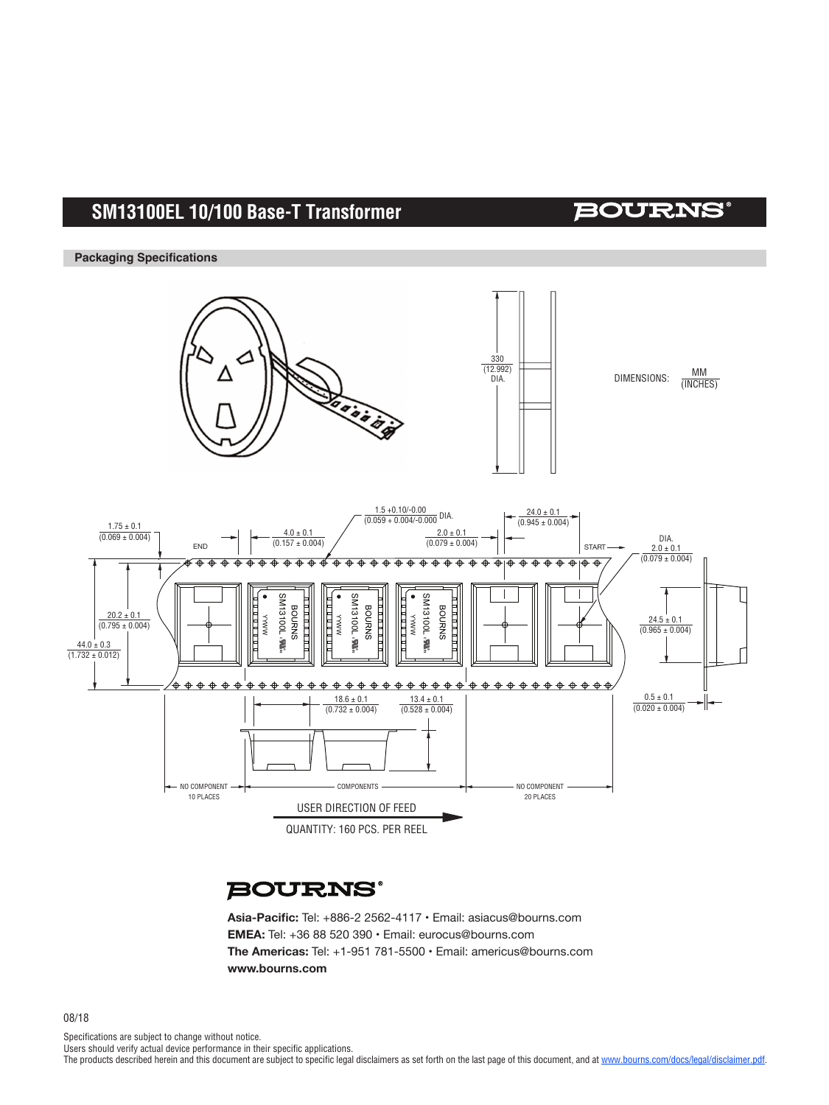# **SM13100EL 10/100 Base-T Transformer**

### **BOURNS®**

**Packaging Specifications**



## **BOURNS®**

**Asia-Pacific:** Tel: +886-2 2562-4117 • Email: asiacus@bourns.com **EMEA:** Tel: +36 88 520 390 • Email: eurocus@bourns.com **The Americas:** Tel: +1-951 781-5500 • Email: americus@bourns.com **www.bourns.com**

Specifications are subject to change without notice.

Users should verify actual device performance in their specific applications.

The products described herein and this document are subject to specific legal disclaimers as set forth on the last page of this document, and at www.bourns.com/docs/legal/disclaimer.pdf.